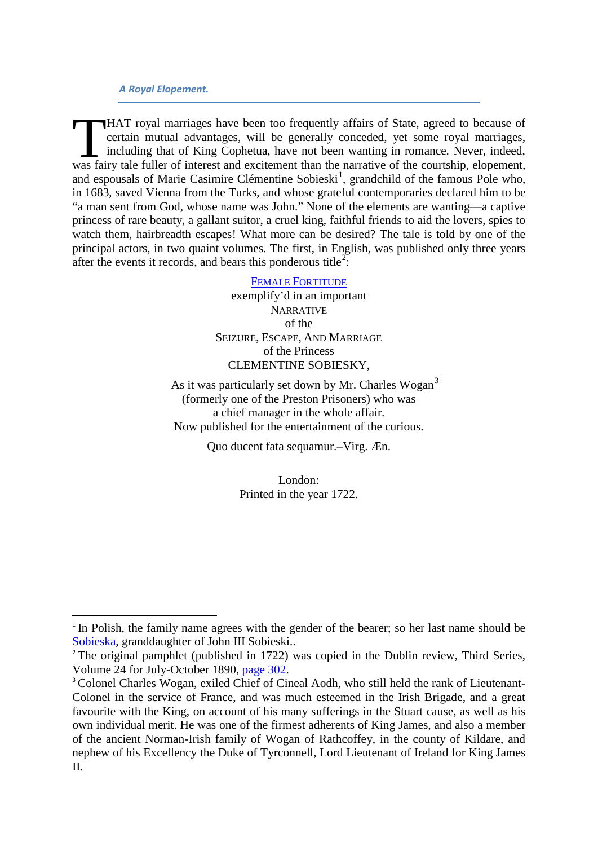## *A Royal Elopement.*

HAT royal marriages have been too frequently affairs of State, agreed to because of certain mutual advantages, will be generally conceded, yet some royal marriages, including that of King Cophetua, have not been wanting in romance. Never, indeed, HAT royal marriages have been too frequently affairs of State, agreed to because of certain mutual advantages, will be generally conceded, yet some royal marriages, including that of King Cophetua, have not been wanting in and espousals of Marie Casimire Clémentine Sobieski<sup>[1](#page-0-0)</sup>, grandchild of the famous Pole who, in 1683, saved Vienna from the Turks, and whose grateful contemporaries declared him to be "a man sent from God, whose name was John." None of the elements are wanting—a captive princess of rare beauty, a gallant suitor, a cruel king, faithful friends to aid the lovers, spies to watch them, hairbreadth escapes! What more can be desired? The tale is told by one of the principal actors, in two quaint volumes. The first, in English, was published only three years after the events it records, and bears this ponderous title<sup>[2](#page-0-1)</sup>:

## [FEMALE FORTITUDE](http://books.google.com/books?id=dsAUAAAAQAAJ&ots=A3a5bPl_kq&dq=FEMALE%20FORTITUDE%20EXEMPLIFIED&pg=PR1#v=onepage&q&f=false)

exemplify'd in an important NARRATIVE of the SEIZURE, ESCAPE, AND MARRIAGE of the Princess CLEMENTINE SOBIESKY,

As it was particularly set down by Mr. Charles Wogan<sup>[3](#page-0-2)</sup> (formerly one of the Preston Prisoners) who was a chief manager in the whole affair. Now published for the entertainment of the curious.

Quo ducent fata sequamur.–Virg. Æn.

London: Printed in the year 1722.

<span id="page-0-0"></span><sup>&</sup>lt;sup>1</sup> In Polish, the family name agrees with the gender of the bearer; so her last name should be [Sobieska,](http://en.wikipedia.org/wiki/Maria_Clementina_Sobieska) granddaughter of John III Sobieski..

<span id="page-0-1"></span><sup>&</sup>lt;sup>2</sup> The original pamphlet (published in 1722) was copied in the Dublin review, Third Series, Volume 24 for July-October 1890, [page 302.](http://books.google.com/books?id=5lUVAQAAIAAJ&lpg=PA307&ots=AgmM0Dz_7O&dq=%22michael%20vezzosi%22&pg=PA302#v=onepage&q&f=false)

<span id="page-0-2"></span><sup>&</sup>lt;sup>3</sup> Colonel Charles Wogan, exiled Chief of Cineal Aodh, who still held the rank of Lieutenant-Colonel in the service of France, and was much esteemed in the Irish Brigade, and a great favourite with the King, on account of his many sufferings in the Stuart cause, as well as his own individual merit. He was one of the firmest adherents of King James, and also a member of the ancient Norman-Irish family of Wogan of Rathcoffey, in the county of Kildare, and nephew of his Excellency the Duke of Tyrconnell, Lord Lieutenant of Ireland for King James II.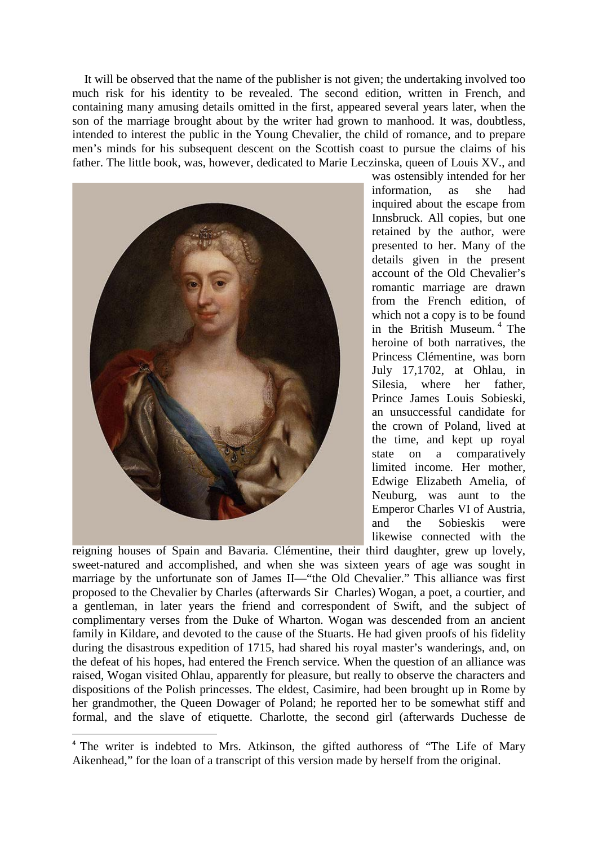It will be observed that the name of the publisher is not given; the undertaking involved too much risk for his identity to be revealed. The second edition, written in French, and containing many amusing details omitted in the first, appeared several years later, when the son of the marriage brought about by the writer had grown to manhood. It was, doubtless, intended to interest the public in the Young Chevalier, the child of romance, and to prepare men's minds for his subsequent descent on the Scottish coast to pursue the claims of his father. The little book, was, however, dedicated to Marie Leczinska, queen of Louis XV., and



was ostensibly intended for her information, as she had inquired about the escape from Innsbruck. All copies, but one retained by the author, were presented to her. Many of the details given in the present account of the Old Chevalier's romantic marriage are drawn from the French edition, of which not a copy is to be found in the British Museum. [4](#page-1-0) The heroine of both narratives, the Princess Clémentine, was born July 17,1702, at Ohlau, in Silesia, where her father, Prince James Louis Sobieski, an unsuccessful candidate for the crown of Poland, lived at the time, and kept up royal state on a comparatively limited income. Her mother, Edwige Elizabeth Amelia, of Neuburg, was aunt to the Emperor Charles VI of Austria, and the Sobieskis were likewise connected with the

reigning houses of Spain and Bavaria. Clémentine, their third daughter, grew up lovely, sweet-natured and accomplished, and when she was sixteen years of age was sought in marriage by the unfortunate son of James II—"the Old Chevalier." This alliance was first proposed to the Chevalier by Charles (afterwards Sir Charles) Wogan, a poet, a courtier, and a gentleman, in later years the friend and correspondent of Swift, and the subject of complimentary verses from the Duke of Wharton. Wogan was descended from an ancient family in Kildare, and devoted to the cause of the Stuarts. He had given proofs of his fidelity during the disastrous expedition of 1715, had shared his royal master's wanderings, and, on the defeat of his hopes, had entered the French service. When the question of an alliance was raised, Wogan visited Ohlau, apparently for pleasure, but really to observe the characters and dispositions of the Polish princesses. The eldest, Casimire, had been brought up in Rome by her grandmother, the Queen Dowager of Poland; he reported her to be somewhat stiff and formal, and the slave of etiquette. Charlotte, the second girl (afterwards Duchesse de

<span id="page-1-0"></span><sup>&</sup>lt;sup>4</sup> The writer is indebted to Mrs. Atkinson, the gifted authoress of "The Life of Mary" Aikenhead," for the loan of a transcript of this version made by herself from the original.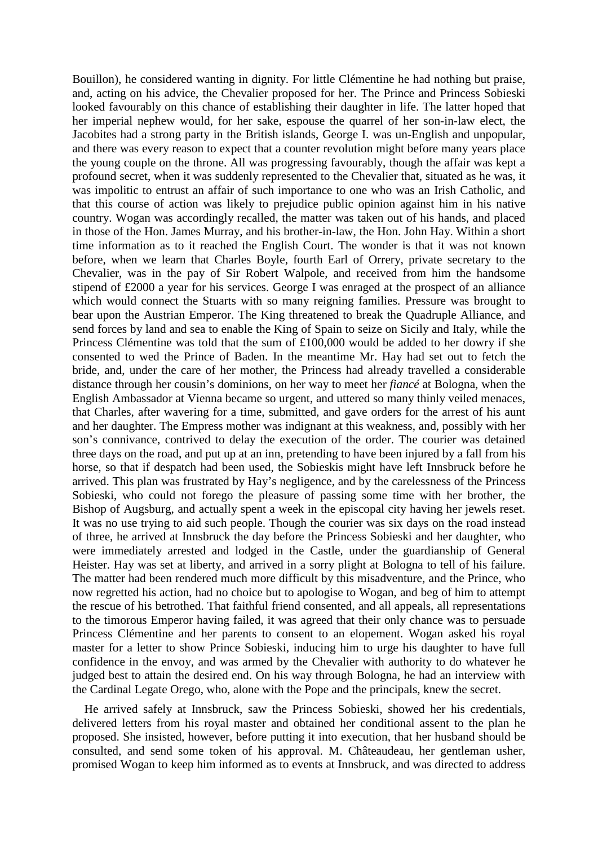Bouillon), he considered wanting in dignity. For little Clémentine he had nothing but praise, and, acting on his advice, the Chevalier proposed for her. The Prince and Princess Sobieski looked favourably on this chance of establishing their daughter in life. The latter hoped that her imperial nephew would, for her sake, espouse the quarrel of her son-in-law elect, the Jacobites had a strong party in the British islands, George I. was un-English and unpopular, and there was every reason to expect that a counter revolution might before many years place the young couple on the throne. All was progressing favourably, though the affair was kept a profound secret, when it was suddenly represented to the Chevalier that, situated as he was, it was impolitic to entrust an affair of such importance to one who was an Irish Catholic, and that this course of action was likely to prejudice public opinion against him in his native country. Wogan was accordingly recalled, the matter was taken out of his hands, and placed in those of the Hon. James Murray, and his brother-in-law, the Hon. John Hay. Within a short time information as to it reached the English Court. The wonder is that it was not known before, when we learn that Charles Boyle, fourth Earl of Orrery, private secretary to the Chevalier, was in the pay of Sir Robert Walpole, and received from him the handsome stipend of £2000 a year for his services. George I was enraged at the prospect of an alliance which would connect the Stuarts with so many reigning families. Pressure was brought to bear upon the Austrian Emperor. The King threatened to break the Quadruple Alliance, and send forces by land and sea to enable the King of Spain to seize on Sicily and Italy, while the Princess Clémentine was told that the sum of £100,000 would be added to her dowry if she consented to wed the Prince of Baden. In the meantime Mr. Hay had set out to fetch the bride, and, under the care of her mother, the Princess had already travelled a considerable distance through her cousin's dominions, on her way to meet her *fiancé* at Bologna, when the English Ambassador at Vienna became so urgent, and uttered so many thinly veiled menaces, that Charles, after wavering for a time, submitted, and gave orders for the arrest of his aunt and her daughter. The Empress mother was indignant at this weakness, and, possibly with her son's connivance, contrived to delay the execution of the order. The courier was detained three days on the road, and put up at an inn, pretending to have been injured by a fall from his horse, so that if despatch had been used, the Sobieskis might have left Innsbruck before he arrived. This plan was frustrated by Hay's negligence, and by the carelessness of the Princess Sobieski, who could not forego the pleasure of passing some time with her brother, the Bishop of Augsburg, and actually spent a week in the episcopal city having her jewels reset. It was no use trying to aid such people. Though the courier was six days on the road instead of three, he arrived at Innsbruck the day before the Princess Sobieski and her daughter, who were immediately arrested and lodged in the Castle, under the guardianship of General Heister. Hay was set at liberty, and arrived in a sorry plight at Bologna to tell of his failure. The matter had been rendered much more difficult by this misadventure, and the Prince, who now regretted his action, had no choice but to apologise to Wogan, and beg of him to attempt the rescue of his betrothed. That faithful friend consented, and all appeals, all representations to the timorous Emperor having failed, it was agreed that their only chance was to persuade Princess Clémentine and her parents to consent to an elopement. Wogan asked his royal master for a letter to show Prince Sobieski, inducing him to urge his daughter to have full confidence in the envoy, and was armed by the Chevalier with authority to do whatever he judged best to attain the desired end. On his way through Bologna, he had an interview with the Cardinal Legate Orego, who, alone with the Pope and the principals, knew the secret.

He arrived safely at Innsbruck, saw the Princess Sobieski, showed her his credentials, delivered letters from his royal master and obtained her conditional assent to the plan he proposed. She insisted, however, before putting it into execution, that her husband should be consulted, and send some token of his approval. M. Châteaudeau, her gentleman usher, promised Wogan to keep him informed as to events at Innsbruck, and was directed to address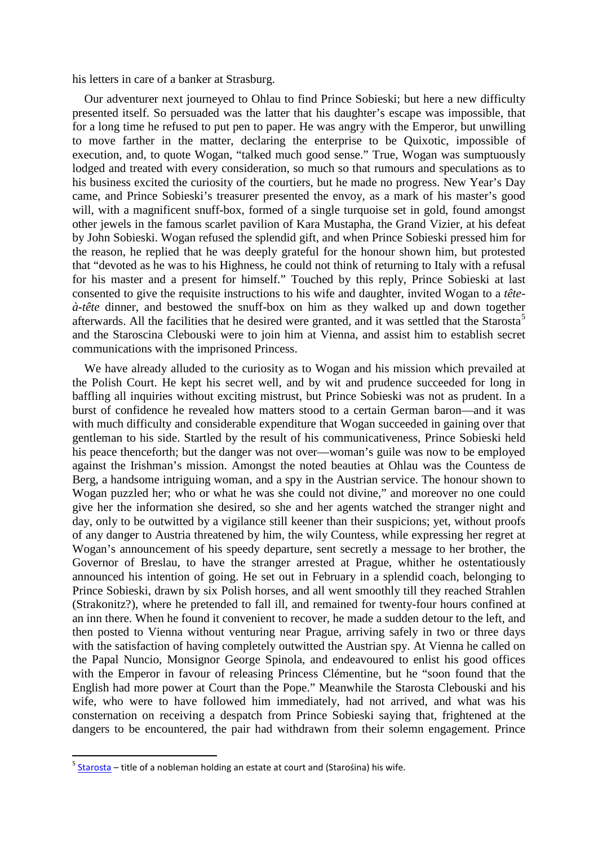his letters in care of a banker at Strasburg.

Our adventurer next journeyed to Ohlau to find Prince Sobieski; but here a new difficulty presented itself. So persuaded was the latter that his daughter's escape was impossible, that for a long time he refused to put pen to paper. He was angry with the Emperor, but unwilling to move farther in the matter, declaring the enterprise to be Quixotic, impossible of execution, and, to quote Wogan, "talked much good sense." True, Wogan was sumptuously lodged and treated with every consideration, so much so that rumours and speculations as to his business excited the curiosity of the courtiers, but he made no progress. New Year's Day came, and Prince Sobieski's treasurer presented the envoy, as a mark of his master's good will, with a magnificent snuff-box, formed of a single turquoise set in gold, found amongst other jewels in the famous scarlet pavilion of Kara Mustapha, the Grand Vizier, at his defeat by John Sobieski. Wogan refused the splendid gift, and when Prince Sobieski pressed him for the reason, he replied that he was deeply grateful for the honour shown him, but protested that "devoted as he was to his Highness, he could not think of returning to Italy with a refusal for his master and a present for himself." Touched by this reply, Prince Sobieski at last consented to give the requisite instructions to his wife and daughter, invited Wogan to a *têteà-tête* dinner, and bestowed the snuff-box on him as they walked up and down together afterwards. All the facilities that he desired were granted, and it was settled that the Starosta<sup>[5](#page-3-0)</sup> and the Staroscina Clebouski were to join him at Vienna, and assist him to establish secret communications with the imprisoned Princess.

We have already alluded to the curiosity as to Wogan and his mission which prevailed at the Polish Court. He kept his secret well, and by wit and prudence succeeded for long in baffling all inquiries without exciting mistrust, but Prince Sobieski was not as prudent. In a burst of confidence he revealed how matters stood to a certain German baron—and it was with much difficulty and considerable expenditure that Wogan succeeded in gaining over that gentleman to his side. Startled by the result of his communicativeness, Prince Sobieski held his peace thenceforth; but the danger was not over—woman's guile was now to be employed against the Irishman's mission. Amongst the noted beauties at Ohlau was the Countess de Berg, a handsome intriguing woman, and a spy in the Austrian service. The honour shown to Wogan puzzled her; who or what he was she could not divine," and moreover no one could give her the information she desired, so she and her agents watched the stranger night and day, only to be outwitted by a vigilance still keener than their suspicions; yet, without proofs of any danger to Austria threatened by him, the wily Countess, while expressing her regret at Wogan's announcement of his speedy departure, sent secretly a message to her brother, the Governor of Breslau, to have the stranger arrested at Prague, whither he ostentatiously announced his intention of going. He set out in February in a splendid coach, belonging to Prince Sobieski, drawn by six Polish horses, and all went smoothly till they reached Strahlen (Strakonitz?), where he pretended to fall ill, and remained for twenty-four hours confined at an inn there. When he found it convenient to recover, he made a sudden detour to the left, and then posted to Vienna without venturing near Prague, arriving safely in two or three days with the satisfaction of having completely outwitted the Austrian spy. At Vienna he called on the Papal Nuncio, Monsignor George Spinola, and endeavoured to enlist his good offices with the Emperor in favour of releasing Princess Clémentine, but he "soon found that the English had more power at Court than the Pope." Meanwhile the Starosta Clebouski and his wife, who were to have followed him immediately, had not arrived, and what was his consternation on receiving a despatch from Prince Sobieski saying that, frightened at the dangers to be encountered, the pair had withdrawn from their solemn engagement. Prince

<span id="page-3-0"></span> $5$  [Starosta](http://books.google.com/books?id=qmcUAAAAIAAJ&lpg=PA355&ots=7BDr9oJzm2&dq=Starost%20%20Staroscina&pg=PA355#v=onepage&q&f=false) – title of a nobleman holding an estate at court and (Starośina) his wife.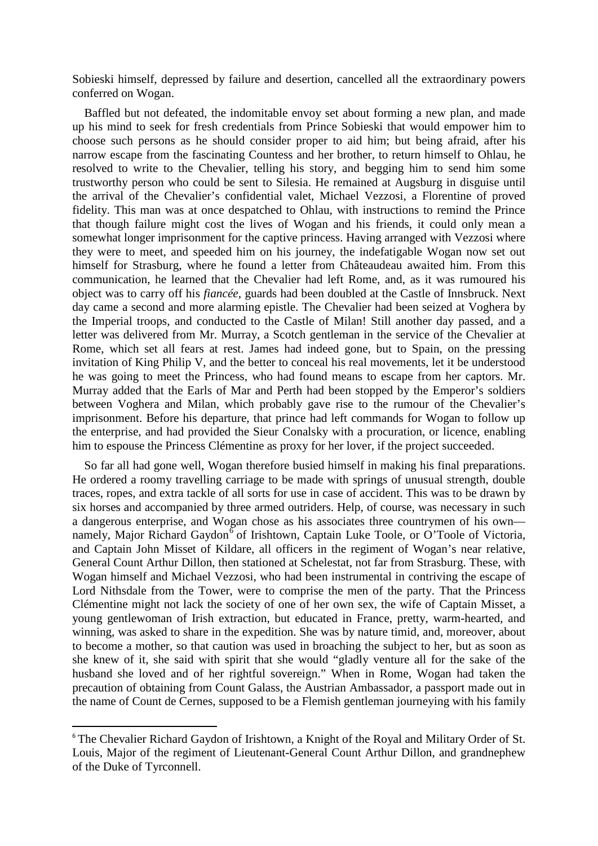Sobieski himself, depressed by failure and desertion, cancelled all the extraordinary powers conferred on Wogan.

Baffled but not defeated, the indomitable envoy set about forming a new plan, and made up his mind to seek for fresh credentials from Prince Sobieski that would empower him to choose such persons as he should consider proper to aid him; but being afraid, after his narrow escape from the fascinating Countess and her brother, to return himself to Ohlau, he resolved to write to the Chevalier, telling his story, and begging him to send him some trustworthy person who could be sent to Silesia. He remained at Augsburg in disguise until the arrival of the Chevalier's confidential valet, Michael Vezzosi, a Florentine of proved fidelity. This man was at once despatched to Ohlau, with instructions to remind the Prince that though failure might cost the lives of Wogan and his friends, it could only mean a somewhat longer imprisonment for the captive princess. Having arranged with Vezzosi where they were to meet, and speeded him on his journey, the indefatigable Wogan now set out himself for Strasburg, where he found a letter from Châteaudeau awaited him. From this communication, he learned that the Chevalier had left Rome, and, as it was rumoured his object was to carry off his *fiancée,* guards had been doubled at the Castle of Innsbruck. Next day came a second and more alarming epistle. The Chevalier had been seized at Voghera by the Imperial troops, and conducted to the Castle of Milan! Still another day passed, and a letter was delivered from Mr. Murray, a Scotch gentleman in the service of the Chevalier at Rome, which set all fears at rest. James had indeed gone, but to Spain, on the pressing invitation of King Philip V, and the better to conceal his real movements, let it be understood he was going to meet the Princess, who had found means to escape from her captors. Mr. Murray added that the Earls of Mar and Perth had been stopped by the Emperor's soldiers between Voghera and Milan, which probably gave rise to the rumour of the Chevalier's imprisonment. Before his departure, that prince had left commands for Wogan to follow up the enterprise, and had provided the Sieur Conalsky with a procuration, or licence, enabling him to espouse the Princess Clémentine as proxy for her lover, if the project succeeded.

So far all had gone well, Wogan therefore busied himself in making his final preparations. He ordered a roomy travelling carriage to be made with springs of unusual strength, double traces, ropes, and extra tackle of all sorts for use in case of accident. This was to be drawn by six horses and accompanied by three armed outriders. Help, of course, was necessary in such a dangerous enterprise, and Wogan chose as his associates three countrymen of his own— namely, Major Richard Gaydon<sup>[6](#page-4-0)</sup> of Irishtown, Captain Luke Toole, or O'Toole of Victoria, and Captain John Misset of Kildare, all officers in the regiment of Wogan's near relative, General Count Arthur Dillon, then stationed at Schelestat, not far from Strasburg. These, with Wogan himself and Michael Vezzosi, who had been instrumental in contriving the escape of Lord Nithsdale from the Tower, were to comprise the men of the party. That the Princess Clémentine might not lack the society of one of her own sex, the wife of Captain Misset, a young gentlewoman of Irish extraction, but educated in France, pretty, warm-hearted, and winning, was asked to share in the expedition. She was by nature timid, and, moreover, about to become a mother, so that caution was used in broaching the subject to her, but as soon as she knew of it, she said with spirit that she would "gladly venture all for the sake of the husband she loved and of her rightful sovereign." When in Rome, Wogan had taken the precaution of obtaining from Count Galass, the Austrian Ambassador, a passport made out in the name of Count de Cernes, supposed to be a Flemish gentleman journeying with his family

<span id="page-4-0"></span><sup>&</sup>lt;sup>6</sup> The Chevalier Richard Gaydon of Irishtown, a Knight of the Royal and Military Order of St. Louis, Major of the regiment of Lieutenant-General Count Arthur Dillon, and grandnephew of the Duke of Tyrconnell.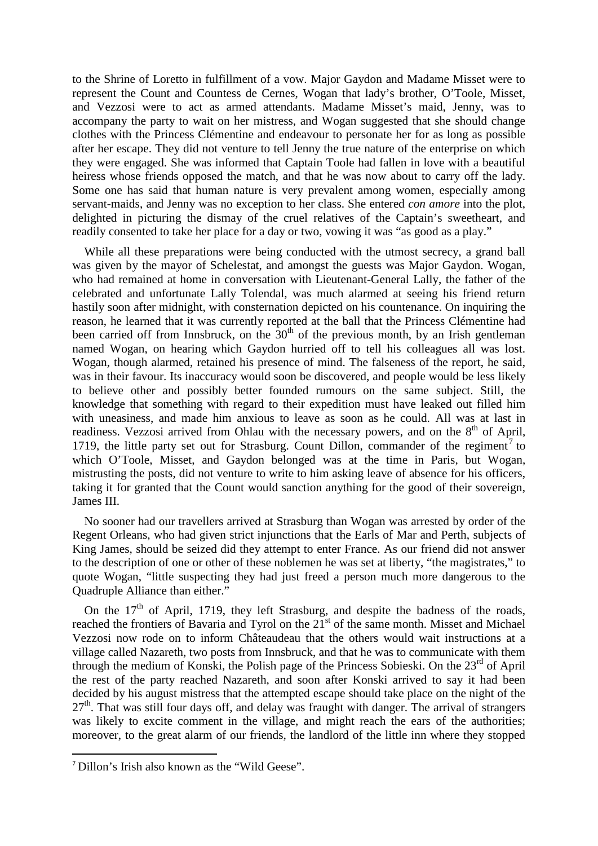to the Shrine of Loretto in fulfillment of a vow. Major Gaydon and Madame Misset were to represent the Count and Countess de Cernes, Wogan that lady's brother, O'Toole, Misset, and Vezzosi were to act as armed attendants. Madame Misset's maid, Jenny, was to accompany the party to wait on her mistress, and Wogan suggested that she should change clothes with the Princess Clémentine and endeavour to personate her for as long as possible after her escape. They did not venture to tell Jenny the true nature of the enterprise on which they were engaged. She was informed that Captain Toole had fallen in love with a beautiful heiress whose friends opposed the match, and that he was now about to carry off the lady. Some one has said that human nature is very prevalent among women, especially among servant-maids, and Jenny was no exception to her class. She entered *con amore* into the plot, delighted in picturing the dismay of the cruel relatives of the Captain's sweetheart, and readily consented to take her place for a day or two, vowing it was "as good as a play."

While all these preparations were being conducted with the utmost secrecy, a grand ball was given by the mayor of Schelestat, and amongst the guests was Major Gaydon. Wogan, who had remained at home in conversation with Lieutenant-General Lally, the father of the celebrated and unfortunate Lally Tolendal, was much alarmed at seeing his friend return hastily soon after midnight, with consternation depicted on his countenance. On inquiring the reason, he learned that it was currently reported at the ball that the Princess Clémentine had been carried off from Innsbruck, on the  $30<sup>th</sup>$  of the previous month, by an Irish gentleman named Wogan, on hearing which Gaydon hurried off to tell his colleagues all was lost. Wogan, though alarmed, retained his presence of mind. The falseness of the report, he said, was in their favour. Its inaccuracy would soon be discovered, and people would be less likely to believe other and possibly better founded rumours on the same subject. Still, the knowledge that something with regard to their expedition must have leaked out filled him with uneasiness, and made him anxious to leave as soon as he could. All was at last in readiness. Vezzosi arrived from Ohlau with the necessary powers, and on the  $8<sup>th</sup>$  of April, 1[7](#page-5-0)19, the little party set out for Strasburg. Count Dillon, commander of the regiment<sup>7</sup> to which O'Toole, Misset, and Gaydon belonged was at the time in Paris, but Wogan, mistrusting the posts, did not venture to write to him asking leave of absence for his officers, taking it for granted that the Count would sanction anything for the good of their sovereign, James III.

No sooner had our travellers arrived at Strasburg than Wogan was arrested by order of the Regent Orleans, who had given strict injunctions that the Earls of Mar and Perth, subjects of King James, should be seized did they attempt to enter France. As our friend did not answer to the description of one or other of these noblemen he was set at liberty, "the magistrates," to quote Wogan, "little suspecting they had just freed a person much more dangerous to the Quadruple Alliance than either."

On the  $17<sup>th</sup>$  of April, 1719, they left Strasburg, and despite the badness of the roads, reached the frontiers of Bavaria and Tyrol on the  $21<sup>st</sup>$  of the same month. Misset and Michael Vezzosi now rode on to inform Châteaudeau that the others would wait instructions at a village called Nazareth, two posts from Innsbruck, and that he was to communicate with them through the medium of Konski, the Polish page of the Princess Sobieski. On the 23<sup>rd</sup> of April the rest of the party reached Nazareth, and soon after Konski arrived to say it had been decided by his august mistress that the attempted escape should take place on the night of the  $27<sup>th</sup>$ . That was still four days off, and delay was fraught with danger. The arrival of strangers was likely to excite comment in the village, and might reach the ears of the authorities; moreover, to the great alarm of our friends, the landlord of the little inn where they stopped

<span id="page-5-0"></span> <sup>7</sup> Dillon's Irish also known as the "Wild Geese".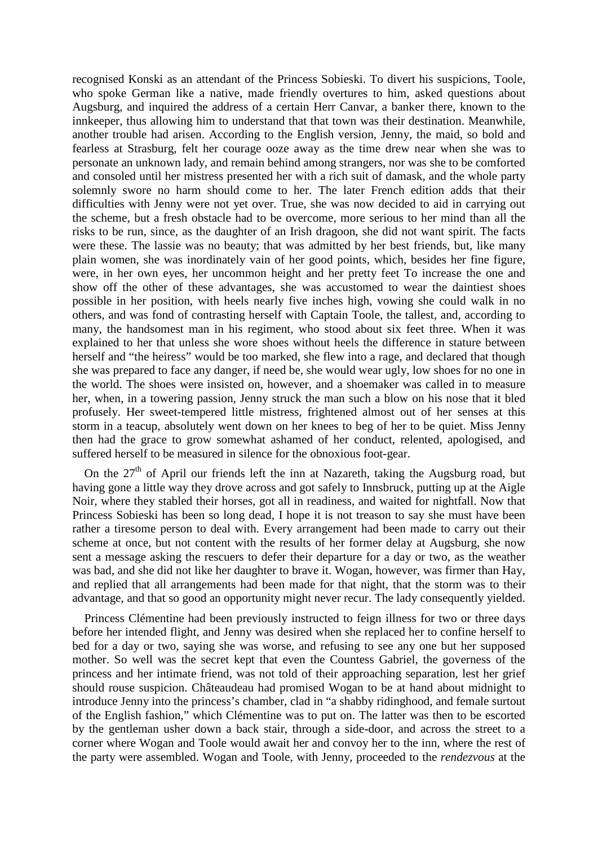recognised Konski as an attendant of the Princess Sobieski. To divert his suspicions, Toole, who spoke German like a native, made friendly overtures to him, asked questions about Augsburg, and inquired the address of a certain Herr Canvar, a banker there, known to the innkeeper, thus allowing him to understand that that town was their destination. Meanwhile, another trouble had arisen. According to the English version, Jenny, the maid, so bold and fearless at Strasburg, felt her courage ooze away as the time drew near when she was to personate an unknown lady, and remain behind among strangers, nor was she to be comforted and consoled until her mistress presented her with a rich suit of damask, and the whole party solemnly swore no harm should come to her. The later French edition adds that their difficulties with Jenny were not yet over. True, she was now decided to aid in carrying out the scheme, but a fresh obstacle had to be overcome, more serious to her mind than all the risks to be run, since, as the daughter of an Irish dragoon, she did not want spirit. The facts were these. The lassie was no beauty; that was admitted by her best friends, but, like many plain women, she was inordinately vain of her good points, which, besides her fine figure, were, in her own eyes, her uncommon height and her pretty feet To increase the one and show off the other of these advantages, she was accustomed to wear the daintiest shoes possible in her position, with heels nearly five inches high, vowing she could walk in no others, and was fond of contrasting herself with Captain Toole, the tallest, and, according to many, the handsomest man in his regiment, who stood about six feet three. When it was explained to her that unless she wore shoes without heels the difference in stature between herself and "the heiress" would be too marked, she flew into a rage, and declared that though she was prepared to face any danger, if need be, she would wear ugly, low shoes for no one in the world. The shoes were insisted on, however, and a shoemaker was called in to measure her, when, in a towering passion, Jenny struck the man such a blow on his nose that it bled profusely. Her sweet-tempered little mistress, frightened almost out of her senses at this storm in a teacup, absolutely went down on her knees to beg of her to be quiet. Miss Jenny then had the grace to grow somewhat ashamed of her conduct, relented, apologised, and suffered herself to be measured in silence for the obnoxious foot-gear.

On the  $27<sup>th</sup>$  of April our friends left the inn at Nazareth, taking the Augsburg road, but having gone a little way they drove across and got safely to Innsbruck, putting up at the Aigle Noir, where they stabled their horses, got all in readiness, and waited for nightfall. Now that Princess Sobieski has been so long dead, I hope it is not treason to say she must have been rather a tiresome person to deal with. Every arrangement had been made to carry out their scheme at once, but not content with the results of her former delay at Augsburg, she now sent a message asking the rescuers to defer their departure for a day or two, as the weather was bad, and she did not like her daughter to brave it. Wogan, however, was firmer than Hay, and replied that all arrangements had been made for that night, that the storm was to their advantage, and that so good an opportunity might never recur. The lady consequently yielded.

Princess Clémentine had been previously instructed to feign illness for two or three days before her intended flight, and Jenny was desired when she replaced her to confine herself to bed for a day or two, saying she was worse, and refusing to see any one but her supposed mother. So well was the secret kept that even the Countess Gabriel, the governess of the princess and her intimate friend, was not told of their approaching separation, lest her grief should rouse suspicion. Châteaudeau had promised Wogan to be at hand about midnight to introduce Jenny into the princess's chamber, clad in "a shabby ridinghood, and female surtout of the English fashion," which Clémentine was to put on. The latter was then to be escorted by the gentleman usher down a back stair, through a side-door, and across the street to a corner where Wogan and Toole would await her and convoy her to the inn, where the rest of the party were assembled. Wogan and Toole, with Jenny, proceeded to the *rendezvous* at the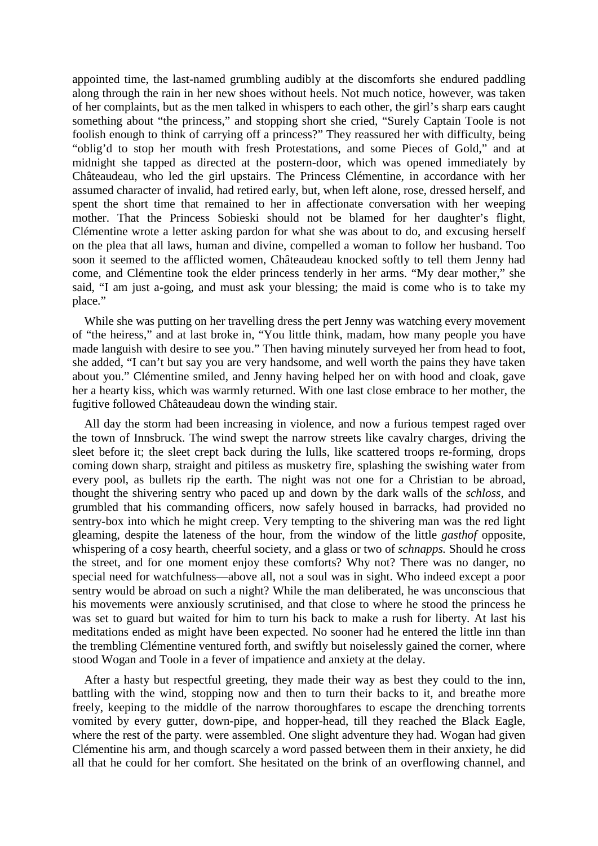appointed time, the last-named grumbling audibly at the discomforts she endured paddling along through the rain in her new shoes without heels. Not much notice, however, was taken of her complaints, but as the men talked in whispers to each other, the girl's sharp ears caught something about "the princess," and stopping short she cried, "Surely Captain Toole is not foolish enough to think of carrying off a princess?" They reassured her with difficulty, being "oblig'd to stop her mouth with fresh Protestations, and some Pieces of Gold," and at midnight she tapped as directed at the postern-door, which was opened immediately by Châteaudeau, who led the girl upstairs. The Princess Clémentine, in accordance with her assumed character of invalid, had retired early, but, when left alone, rose, dressed herself, and spent the short time that remained to her in affectionate conversation with her weeping mother. That the Princess Sobieski should not be blamed for her daughter's flight, Clémentine wrote a letter asking pardon for what she was about to do, and excusing herself on the plea that all laws, human and divine, compelled a woman to follow her husband. Too soon it seemed to the afflicted women, Châteaudeau knocked softly to tell them Jenny had come, and Clémentine took the elder princess tenderly in her arms. "My dear mother," she said, "I am just a-going, and must ask your blessing; the maid is come who is to take my place."

While she was putting on her travelling dress the pert Jenny was watching every movement of "the heiress," and at last broke in, "You little think, madam, how many people you have made languish with desire to see you." Then having minutely surveyed her from head to foot, she added, "I can't but say you are very handsome, and well worth the pains they have taken about you." Clémentine smiled, and Jenny having helped her on with hood and cloak, gave her a hearty kiss, which was warmly returned. With one last close embrace to her mother, the fugitive followed Châteaudeau down the winding stair.

All day the storm had been increasing in violence, and now a furious tempest raged over the town of Innsbruck. The wind swept the narrow streets like cavalry charges, driving the sleet before it; the sleet crept back during the lulls, like scattered troops re-forming, drops coming down sharp, straight and pitiless as musketry fire, splashing the swishing water from every pool, as bullets rip the earth. The night was not one for a Christian to be abroad, thought the shivering sentry who paced up and down by the dark walls of the *schloss,* and grumbled that his commanding officers, now safely housed in barracks, had provided no sentry-box into which he might creep. Very tempting to the shivering man was the red light gleaming, despite the lateness of the hour, from the window of the little *gasthof* opposite, whispering of a cosy hearth, cheerful society, and a glass or two of *schnapps.* Should he cross the street, and for one moment enjoy these comforts? Why not? There was no danger, no special need for watchfulness—above all, not a soul was in sight. Who indeed except a poor sentry would be abroad on such a night? While the man deliberated, he was unconscious that his movements were anxiously scrutinised, and that close to where he stood the princess he was set to guard but waited for him to turn his back to make a rush for liberty. At last his meditations ended as might have been expected. No sooner had he entered the little inn than the trembling Clémentine ventured forth, and swiftly but noiselessly gained the corner, where stood Wogan and Toole in a fever of impatience and anxiety at the delay.

After a hasty but respectful greeting, they made their way as best they could to the inn, battling with the wind, stopping now and then to turn their backs to it, and breathe more freely, keeping to the middle of the narrow thoroughfares to escape the drenching torrents vomited by every gutter, down-pipe, and hopper-head, till they reached the Black Eagle, where the rest of the party. were assembled. One slight adventure they had. Wogan had given Clémentine his arm, and though scarcely a word passed between them in their anxiety, he did all that he could for her comfort. She hesitated on the brink of an overflowing channel, and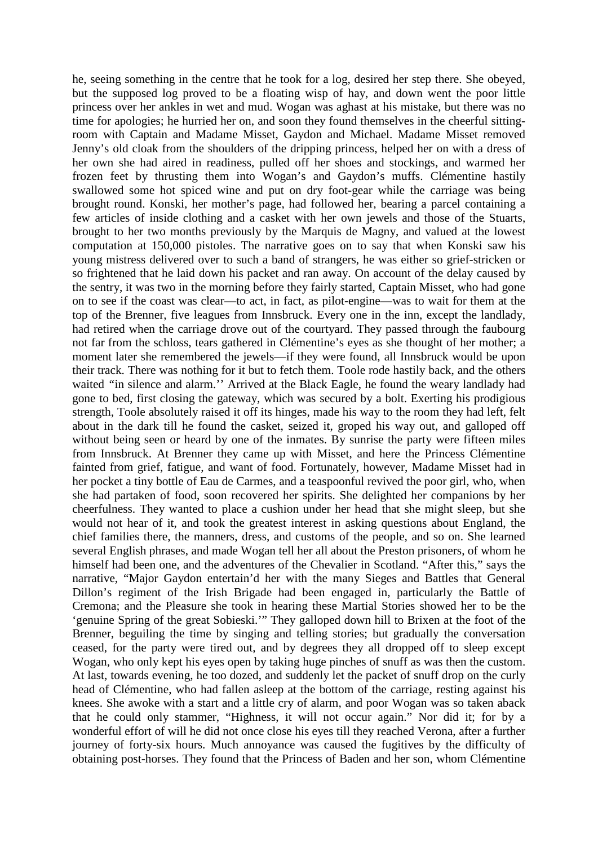he, seeing something in the centre that he took for a log, desired her step there. She obeyed, but the supposed log proved to be a floating wisp of hay, and down went the poor little princess over her ankles in wet and mud. Wogan was aghast at his mistake, but there was no time for apologies; he hurried her on, and soon they found themselves in the cheerful sittingroom with Captain and Madame Misset, Gaydon and Michael. Madame Misset removed Jenny's old cloak from the shoulders of the dripping princess, helped her on with a dress of her own she had aired in readiness, pulled off her shoes and stockings, and warmed her frozen feet by thrusting them into Wogan's and Gaydon's muffs. Clémentine hastily swallowed some hot spiced wine and put on dry foot-gear while the carriage was being brought round. Konski, her mother's page, had followed her, bearing a parcel containing a few articles of inside clothing and a casket with her own jewels and those of the Stuarts, brought to her two months previously by the Marquis de Magny, and valued at the lowest computation at 150,000 pistoles. The narrative goes on to say that when Konski saw his young mistress delivered over to such a band of strangers, he was either so grief-stricken or so frightened that he laid down his packet and ran away. On account of the delay caused by the sentry, it was two in the morning before they fairly started, Captain Misset, who had gone on to see if the coast was clear—to act, in fact, as pilot-engine—was to wait for them at the top of the Brenner, five leagues from Innsbruck. Every one in the inn, except the landlady, had retired when the carriage drove out of the courtyard. They passed through the faubourg not far from the schloss, tears gathered in Clémentine's eyes as she thought of her mother; a moment later she remembered the jewels—if they were found, all Innsbruck would be upon their track. There was nothing for it but to fetch them. Toole rode hastily back, and the others waited *"*in silence and alarm.'' Arrived at the Black Eagle, he found the weary landlady had gone to bed, first closing the gateway, which was secured by a bolt. Exerting his prodigious strength, Toole absolutely raised it off its hinges, made his way to the room they had left, felt about in the dark till he found the casket, seized it, groped his way out, and galloped off without being seen or heard by one of the inmates. By sunrise the party were fifteen miles from Innsbruck. At Brenner they came up with Misset, and here the Princess Clémentine fainted from grief, fatigue, and want of food. Fortunately, however, Madame Misset had in her pocket a tiny bottle of Eau de Carmes, and a teaspoonful revived the poor girl, who, when she had partaken of food, soon recovered her spirits. She delighted her companions by her cheerfulness. They wanted to place a cushion under her head that she might sleep, but she would not hear of it, and took the greatest interest in asking questions about England, the chief families there, the manners, dress, and customs of the people, and so on. She learned several English phrases, and made Wogan tell her all about the Preston prisoners, of whom he himself had been one, and the adventures of the Chevalier in Scotland. "After this," says the narrative, "Major Gaydon entertain'd her with the many Sieges and Battles that General Dillon's regiment of the Irish Brigade had been engaged in, particularly the Battle of Cremona; and the Pleasure she took in hearing these Martial Stories showed her to be the 'genuine Spring of the great Sobieski.'" They galloped down hill to Brixen at the foot of the Brenner, beguiling the time by singing and telling stories; but gradually the conversation ceased, for the party were tired out, and by degrees they all dropped off to sleep except Wogan, who only kept his eyes open by taking huge pinches of snuff as was then the custom. At last, towards evening, he too dozed, and suddenly let the packet of snuff drop on the curly head of Clémentine, who had fallen asleep at the bottom of the carriage, resting against his knees. She awoke with a start and a little cry of alarm, and poor Wogan was so taken aback that he could only stammer, "Highness, it will not occur again." Nor did it; for by a wonderful effort of will he did not once close his eyes till they reached Verona, after a further journey of forty-six hours. Much annoyance was caused the fugitives by the difficulty of obtaining post-horses. They found that the Princess of Baden and her son, whom Clémentine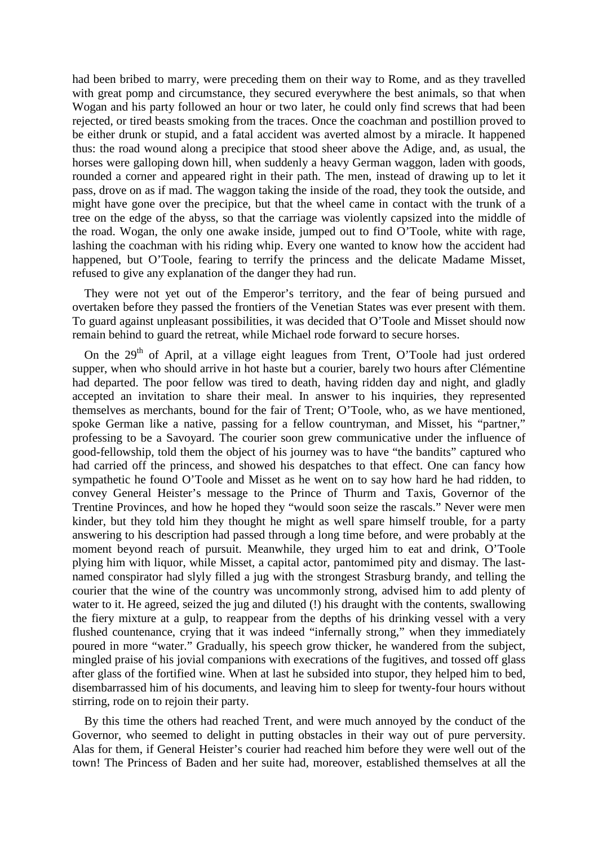had been bribed to marry, were preceding them on their way to Rome, and as they travelled with great pomp and circumstance, they secured everywhere the best animals, so that when Wogan and his party followed an hour or two later, he could only find screws that had been rejected, or tired beasts smoking from the traces. Once the coachman and postillion proved to be either drunk or stupid, and a fatal accident was averted almost by a miracle. It happened thus: the road wound along a precipice that stood sheer above the Adige, and, as usual, the horses were galloping down hill, when suddenly a heavy German waggon, laden with goods, rounded a corner and appeared right in their path. The men, instead of drawing up to let it pass, drove on as if mad. The waggon taking the inside of the road, they took the outside, and might have gone over the precipice, but that the wheel came in contact with the trunk of a tree on the edge of the abyss, so that the carriage was violently capsized into the middle of the road. Wogan, the only one awake inside, jumped out to find O'Toole, white with rage, lashing the coachman with his riding whip. Every one wanted to know how the accident had happened, but O'Toole, fearing to terrify the princess and the delicate Madame Misset, refused to give any explanation of the danger they had run.

They were not yet out of the Emperor's territory, and the fear of being pursued and overtaken before they passed the frontiers of the Venetian States was ever present with them. To guard against unpleasant possibilities, it was decided that O'Toole and Misset should now remain behind to guard the retreat, while Michael rode forward to secure horses.

On the  $29<sup>th</sup>$  of April, at a village eight leagues from Trent, O'Toole had just ordered supper, when who should arrive in hot haste but a courier, barely two hours after Clémentine had departed. The poor fellow was tired to death, having ridden day and night, and gladly accepted an invitation to share their meal. In answer to his inquiries, they represented themselves as merchants, bound for the fair of Trent; O'Toole, who, as we have mentioned, spoke German like a native, passing for a fellow countryman, and Misset, his "partner," professing to be a Savoyard. The courier soon grew communicative under the influence of good-fellowship, told them the object of his journey was to have "the bandits" captured who had carried off the princess, and showed his despatches to that effect. One can fancy how sympathetic he found O'Toole and Misset as he went on to say how hard he had ridden, to convey General Heister's message to the Prince of Thurm and Taxis, Governor of the Trentine Provinces, and how he hoped they "would soon seize the rascals." Never were men kinder, but they told him they thought he might as well spare himself trouble, for a party answering to his description had passed through a long time before, and were probably at the moment beyond reach of pursuit. Meanwhile, they urged him to eat and drink, O'Toole plying him with liquor, while Misset, a capital actor, pantomimed pity and dismay. The lastnamed conspirator had slyly filled a jug with the strongest Strasburg brandy, and telling the courier that the wine of the country was uncommonly strong, advised him to add plenty of water to it. He agreed, seized the jug and diluted (!) his draught with the contents, swallowing the fiery mixture at a gulp, to reappear from the depths of his drinking vessel with a very flushed countenance, crying that it was indeed "infernally strong," when they immediately poured in more "water." Gradually, his speech grow thicker, he wandered from the subject, mingled praise of his jovial companions with execrations of the fugitives, and tossed off glass after glass of the fortified wine. When at last he subsided into stupor, they helped him to bed, disembarrassed him of his documents, and leaving him to sleep for twenty-four hours without stirring, rode on to rejoin their party.

By this time the others had reached Trent, and were much annoyed by the conduct of the Governor, who seemed to delight in putting obstacles in their way out of pure perversity. Alas for them, if General Heister's courier had reached him before they were well out of the town! The Princess of Baden and her suite had, moreover, established themselves at all the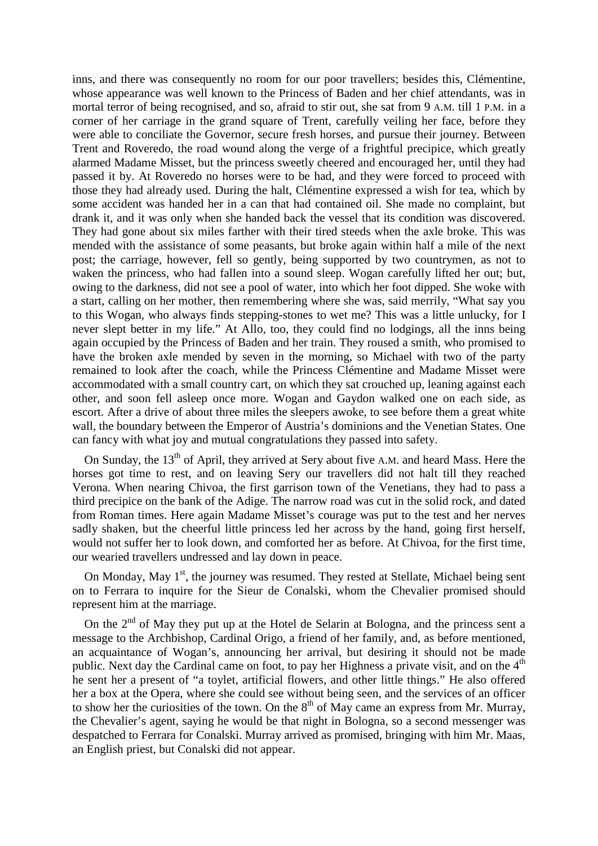inns, and there was consequently no room for our poor travellers; besides this, Clémentine, whose appearance was well known to the Princess of Baden and her chief attendants, was in mortal terror of being recognised, and so, afraid to stir out, she sat from 9 A.M. till 1 P.M. in a corner of her carriage in the grand square of Trent, carefully veiling her face, before they were able to conciliate the Governor, secure fresh horses, and pursue their journey. Between Trent and Roveredo, the road wound along the verge of a frightful precipice, which greatly alarmed Madame Misset, but the princess sweetly cheered and encouraged her, until they had passed it by. At Roveredo no horses were to be had, and they were forced to proceed with those they had already used. During the halt, Clémentine expressed a wish for tea, which by some accident was handed her in a can that had contained oil. She made no complaint, but drank it, and it was only when she handed back the vessel that its condition was discovered. They had gone about six miles farther with their tired steeds when the axle broke. This was mended with the assistance of some peasants, but broke again within half a mile of the next post; the carriage, however, fell so gently, being supported by two countrymen, as not to waken the princess, who had fallen into a sound sleep. Wogan carefully lifted her out; but, owing to the darkness, did not see a pool of water, into which her foot dipped. She woke with a start, calling on her mother, then remembering where she was, said merrily, "What say you to this Wogan, who always finds stepping-stones to wet me? This was a little unlucky, for I never slept better in my life." At Allo, too, they could find no lodgings, all the inns being again occupied by the Princess of Baden and her train. They roused a smith, who promised to have the broken axle mended by seven in the morning, so Michael with two of the party remained to look after the coach, while the Princess Clémentine and Madame Misset were accommodated with a small country cart, on which they sat crouched up, leaning against each other, and soon fell asleep once more. Wogan and Gaydon walked one on each side, as escort. After a drive of about three miles the sleepers awoke, to see before them a great white wall, the boundary between the Emperor of Austria's dominions and the Venetian States. One can fancy with what joy and mutual congratulations they passed into safety.

On Sunday, the 13<sup>th</sup> of April, they arrived at Sery about five A.M. and heard Mass. Here the horses got time to rest, and on leaving Sery our travellers did not halt till they reached Verona. When nearing Chivoa, the first garrison town of the Venetians, they had to pass a third precipice on the bank of the Adige. The narrow road was cut in the solid rock, and dated from Roman times. Here again Madame Misset's courage was put to the test and her nerves sadly shaken, but the cheerful little princess led her across by the hand, going first herself, would not suffer her to look down, and comforted her as before. At Chivoa, for the first time, our wearied travellers undressed and lay down in peace.

On Monday, May  $1<sup>st</sup>$ , the journey was resumed. They rested at Stellate, Michael being sent on to Ferrara to inquire for the Sieur de Conalski, whom the Chevalier promised should represent him at the marriage.

On the  $2^{nd}$  of May they put up at the Hotel de Selarin at Bologna, and the princess sent a message to the Archbishop, Cardinal Origo, a friend of her family, and, as before mentioned, an acquaintance of Wogan's, announcing her arrival, but desiring it should not be made public. Next day the Cardinal came on foot, to pay her Highness a private visit, and on the 4<sup>th</sup> he sent her a present of "a toylet, artificial flowers, and other little things." He also offered her a box at the Opera, where she could see without being seen, and the services of an officer to show her the curiosities of the town. On the  $8<sup>th</sup>$  of May came an express from Mr. Murray, the Chevalier's agent, saying he would be that night in Bologna, so a second messenger was despatched to Ferrara for Conalski. Murray arrived as promised, bringing with him Mr. Maas, an English priest, but Conalski did not appear.